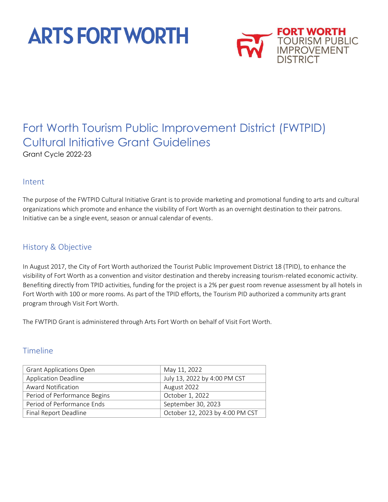# **ARTS FORT WORTH**



# Fort Worth Tourism Public Improvement District (FWTPID) Cultural Initiative Grant Guidelines

Grant Cycle 2022-23

#### Intent

The purpose of the FWTPID Cultural Initiative Grant is to provide marketing and promotional funding to arts and cultural organizations which promote and enhance the visibility of Fort Worth as an overnight destination to their patrons. Initiative can be a single event, season or annual calendar of events.

### History & Objective

In August 2017, the City of Fort Worth authorized the Tourist Public Improvement District 18 (TPID), to enhance the visibility of Fort Worth as a convention and visitor destination and thereby increasing tourism-related economic activity. Benefiting directly from TPID activities, funding for the project is a 2% per guest room revenue assessment by all hotels in Fort Worth with 100 or more rooms. As part of the TPID efforts, the Tourism PID authorized a community arts grant program through Visit Fort Worth.

The FWTPID Grant is administered through Arts Fort Worth on behalf of Visit Fort Worth.

#### Timeline

| <b>Grant Applications Open</b> | May 11, 2022                    |
|--------------------------------|---------------------------------|
| <b>Application Deadline</b>    | July 13, 2022 by 4:00 PM CST    |
| Award Notification             | August 2022                     |
| Period of Performance Begins   | October 1, 2022                 |
| Period of Performance Ends     | September 30, 2023              |
| Final Report Deadline          | October 12, 2023 by 4:00 PM CST |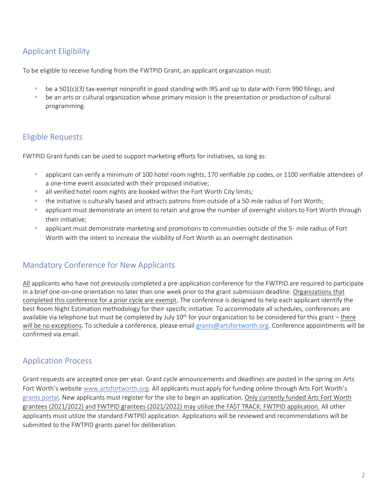# Applicant Eligibility

To be eligible to receive funding from the FWTPID Grant, an applicant organization must:

- be a 501(c)(3) tax-exempt nonprofit in good standing with IRS and up to date with Form 990 filings; and
- be an arts or cultural organization whose primary mission is the presentation or production of cultural programming.

## Eligible Requests

FWTPID Grant funds can be used to support marketing efforts for initiatives, so long as:

- applicant can verify a minimum of 100 hotel room nights, 170 verifiable zip codes, or 1100 verifiable attendees of a one-time event associated with their proposed initiative;
- **E** all verified hotel room nights are booked within the Fort Worth City limits;
- the initiative is culturally based and attracts patrons from outside of a 50-mile radius of Fort Worth;
- applicant must demonstrate an intent to retain and grow the number of overnight visitors to Fort Worth through their initiative;
- **E** applicant must demonstrate marketing and promotions to communities outside of the 5- mile radius of Fort Worth with the intent to increase the visibility of Fort Worth as an overnight destination.

#### Mandatory Conference for New Applicants

All applicants who have not previously completed a pre-application conference for the FWTPID are required to participate in a brief one-on-one orientation no later than one week prior to the grant submission deadline. Organizations that completed this conference for a prior cycle are exempt. The conference is designed to help each applicant identify the best Room Night Estimation methodology for their specific initiative. To accommodate all schedules, conferences are available via telephone but must be completed by July 10<sup>th</sup> for your organization to be considered for this grant – there will be no exceptions. To schedule a conference, please email [grants@artsfortworth.org.](mailto:grants@artsfortworth.org) Conference appointments will be confirmed via email.

#### Application Process

Grant requests are accepted once per year. Grant cycle announcements and deadlines are posted in the spring on Arts Fort Worth's websit[e www.artsfortworth.org.](http://www.artsfortworth.org/) All applicants must apply for funding online through Arts Fort Worth's [grants portal](https://www.grantinterface.com/Home/Logon?urlkey=artsfortworth)*.* New applicants must register for the site to begin an application. Only currently funded Arts Fort Worth grantees (2021/2022) and FWTPID grantees (2021/2022) may utilize the FAST TRACK: FWTPID application. All other applicants must utilize the standard FWTPID application. Applications will be reviewed and recommendations will be submitted to the FWTPID grants panel for deliberation.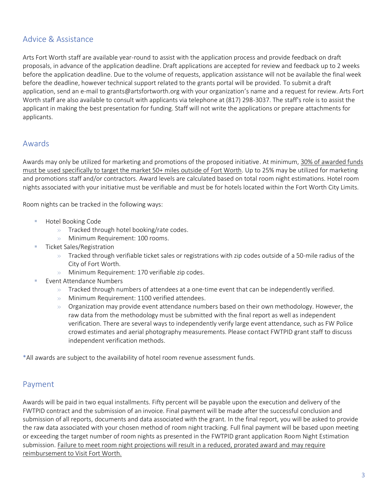#### Advice & Assistance

Arts Fort Worth staff are available year-round to assist with the application process and provide feedback on draft proposals, in advance of the application deadline. Draft applications are accepted for review and feedback up to 2 weeks before the application deadline. Due to the volume of requests, application assistance will not be available the final week before the deadline, however technical support related to the grants portal will be provided. To submit a draft application, send an e-mail to grants@artsfortworth.org with your organization's name and a request for review. Arts Fort Worth staff are also available to consult with applicants via telephone at (817) 298-3037. The staff's role is to assist the applicant in making the best presentation for funding. Staff will not write the applications or prepare attachments for applicants.

#### Awards

Awards may only be utilized for marketing and promotions of the proposed initiative. At minimum, 30% of awarded funds must be used specifically to target the market 50+ miles outside of Fort Worth. Up to 25% may be utilized for marketing and promotions staff and/or contractors. Award levels are calculated based on total room night estimations. Hotel room nights associated with your initiative must be verifiable and must be for hotels located within the Fort Worth City Limits.

Room nights can be tracked in the following ways:

- Hotel Booking Code
	- » Tracked through hotel booking/rate codes.
	- » Minimum Requirement: 100 rooms.
- **Ticket Sales/Registration** 
	- $\gg$  Tracked through verifiable ticket sales or registrations with zip codes outside of a 50-mile radius of the City of Fort Worth.
	- » Minimum Requirement: 170 verifiable zip codes.
- Event Attendance Numbers
	- $\gg$  Tracked through numbers of attendees at a one-time event that can be independently verified.
	- » Minimum Requirement: 1100 verified attendees.
	- $\gg$  Organization may provide event attendance numbers based on their own methodology. However, the raw data from the methodology must be submitted with the final report as well as independent verification. There are several ways to independently verify large event attendance, such as FW Police crowd estimates and aerial photography measurements. Please contact FWTPID grant staff to discuss independent verification methods.

\*All awards are subject to the availability of hotel room revenue assessment funds.

#### Payment

Awards will be paid in two equal installments. Fifty percent will be payable upon the execution and delivery of the FWTPID contract and the submission of an invoice. Final payment will be made after the successful conclusion and submission of all reports, documents and data associated with the grant. In the final report, you will be asked to provide the raw data associated with your chosen method of room night tracking. Full final payment will be based upon meeting or exceeding the target number of room nights as presented in the FWTPID grant application Room Night Estimation submission. Failure to meet room night projections will result in a reduced, prorated award and may require reimbursement to Visit Fort Worth.